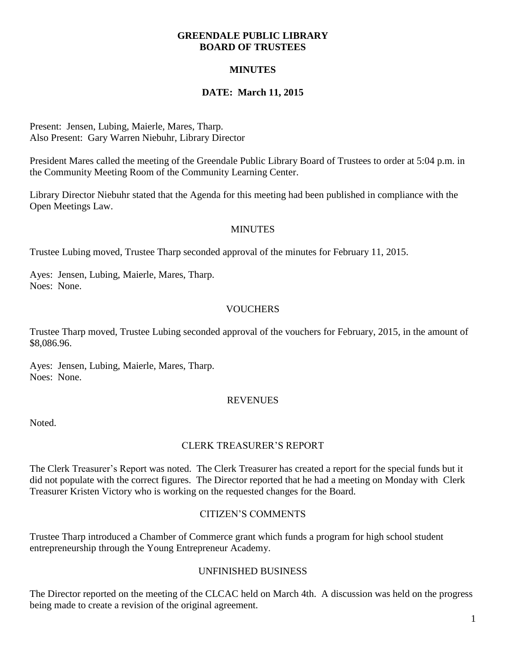#### **GREENDALE PUBLIC LIBRARY BOARD OF TRUSTEES**

## **MINUTES**

## **DATE: March 11, 2015**

Present: Jensen, Lubing, Maierle, Mares, Tharp. Also Present: Gary Warren Niebuhr, Library Director

President Mares called the meeting of the Greendale Public Library Board of Trustees to order at 5:04 p.m. in the Community Meeting Room of the Community Learning Center.

Library Director Niebuhr stated that the Agenda for this meeting had been published in compliance with the Open Meetings Law.

#### **MINUTES**

Trustee Lubing moved, Trustee Tharp seconded approval of the minutes for February 11, 2015.

Ayes: Jensen, Lubing, Maierle, Mares, Tharp. Noes: None.

#### **VOUCHERS**

Trustee Tharp moved, Trustee Lubing seconded approval of the vouchers for February, 2015, in the amount of \$8,086.96.

Ayes: Jensen, Lubing, Maierle, Mares, Tharp. Noes: None.

#### **REVENUES**

Noted.

#### CLERK TREASURER'S REPORT

The Clerk Treasurer's Report was noted. The Clerk Treasurer has created a report for the special funds but it did not populate with the correct figures. The Director reported that he had a meeting on Monday with Clerk Treasurer Kristen Victory who is working on the requested changes for the Board.

#### CITIZEN'S COMMENTS

Trustee Tharp introduced a Chamber of Commerce grant which funds a program for high school student entrepreneurship through the Young Entrepreneur Academy.

#### UNFINISHED BUSINESS

The Director reported on the meeting of the CLCAC held on March 4th. A discussion was held on the progress being made to create a revision of the original agreement.